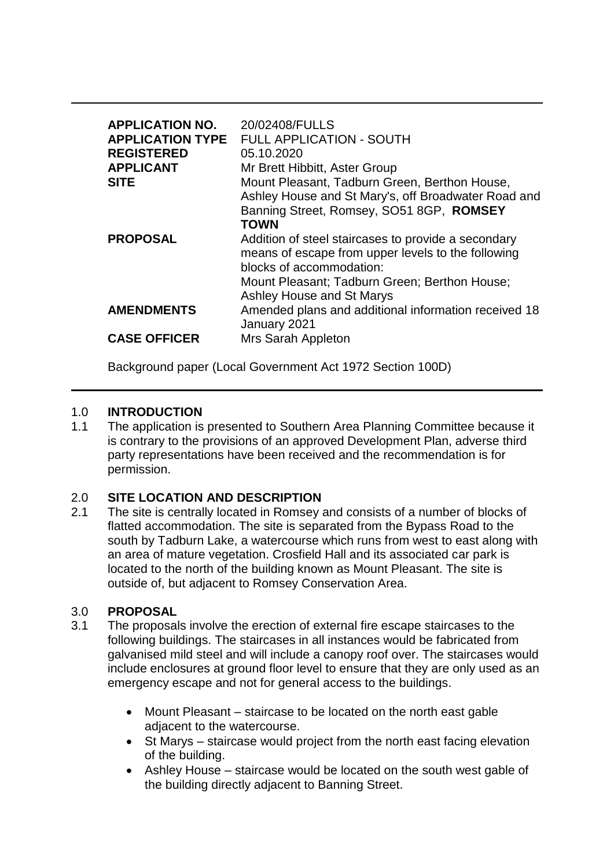| <b>APPLICATION NO.</b><br><b>APPLICATION TYPE</b><br><b>REGISTERED</b><br><b>APPLICANT</b><br><b>SITE</b> | 20/02408/FULLS<br><b>FULL APPLICATION - SOUTH</b><br>05.10.2020<br>Mr Brett Hibbitt, Aster Group<br>Mount Pleasant, Tadburn Green, Berthon House,<br>Ashley House and St Mary's, off Broadwater Road and<br>Banning Street, Romsey, SO51 8GP, ROMSEY<br><b>TOWN</b> |
|-----------------------------------------------------------------------------------------------------------|---------------------------------------------------------------------------------------------------------------------------------------------------------------------------------------------------------------------------------------------------------------------|
| <b>PROPOSAL</b>                                                                                           | Addition of steel staircases to provide a secondary<br>means of escape from upper levels to the following<br>blocks of accommodation:<br>Mount Pleasant; Tadburn Green; Berthon House;<br>Ashley House and St Marys                                                 |
| <b>AMENDMENTS</b>                                                                                         | Amended plans and additional information received 18<br>January 2021                                                                                                                                                                                                |
| <b>CASE OFFICER</b>                                                                                       | Mrs Sarah Appleton                                                                                                                                                                                                                                                  |

Background paper (Local Government Act 1972 Section 100D)

## 1.0 **INTRODUCTION**

1.1 The application is presented to Southern Area Planning Committee because it is contrary to the provisions of an approved Development Plan, adverse third party representations have been received and the recommendation is for permission.

# 2.0 **SITE LOCATION AND DESCRIPTION**

2.1 The site is centrally located in Romsey and consists of a number of blocks of flatted accommodation. The site is separated from the Bypass Road to the south by Tadburn Lake, a watercourse which runs from west to east along with an area of mature vegetation. Crosfield Hall and its associated car park is located to the north of the building known as Mount Pleasant. The site is outside of, but adjacent to Romsey Conservation Area.

## 3.0 **PROPOSAL**

- 3.1 The proposals involve the erection of external fire escape staircases to the following buildings. The staircases in all instances would be fabricated from galvanised mild steel and will include a canopy roof over. The staircases would include enclosures at ground floor level to ensure that they are only used as an emergency escape and not for general access to the buildings.
	- Mount Pleasant staircase to be located on the north east gable adjacent to the watercourse.
	- St Marys staircase would project from the north east facing elevation of the building.
	- Ashley House staircase would be located on the south west gable of the building directly adjacent to Banning Street.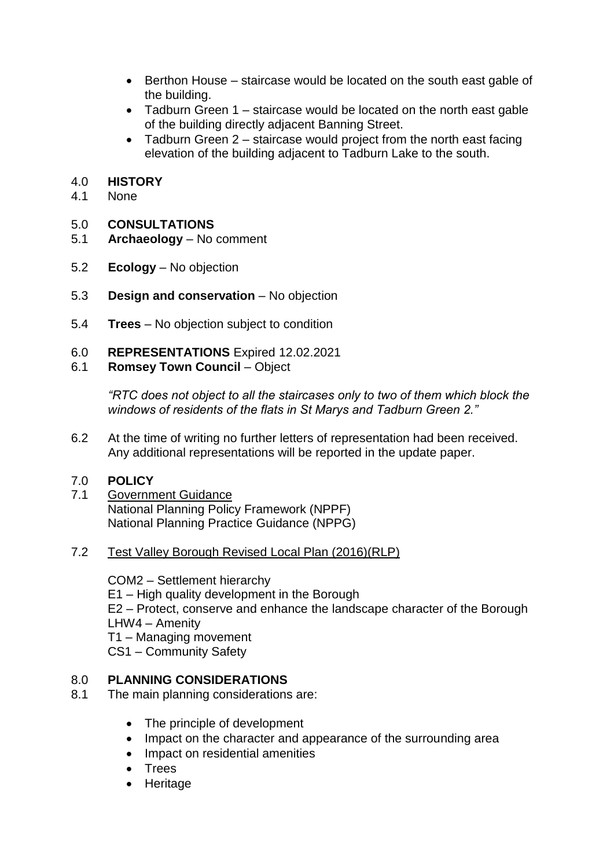- Berthon House staircase would be located on the south east gable of the building.
- Tadburn Green 1 staircase would be located on the north east gable of the building directly adjacent Banning Street.
- Tadburn Green  $2$  staircase would project from the north east facing elevation of the building adjacent to Tadburn Lake to the south.

## 4.0 **HISTORY**

4.1 None

## 5.0 **CONSULTATIONS**

- 5.1 **Archaeology**  No comment
- 5.2 **Ecology**  No objection
- 5.3 **Design and conservation**  No objection
- 5.4 **Trees**  No objection subject to condition
- 6.0 **REPRESENTATIONS** Expired 12.02.2021
- 6.1 **Romsey Town Council**  Object

*"RTC does not object to all the staircases only to two of them which block the windows of residents of the flats in St Marys and Tadburn Green 2."* 

6.2 At the time of writing no further letters of representation had been received. Any additional representations will be reported in the update paper.

### 7.0 **POLICY**

- 7.1 Government Guidance National Planning Policy Framework (NPPF) National Planning Practice Guidance (NPPG)
- 7.2 Test Valley Borough Revised Local Plan (2016)(RLP)

COM2 – Settlement hierarchy E1 – High quality development in the Borough E2 – Protect, conserve and enhance the landscape character of the Borough LHW4 – Amenity T1 – Managing movement CS1 – Community Safety

## 8.0 **PLANNING CONSIDERATIONS**

- 8.1 The main planning considerations are:
	- The principle of development
	- Impact on the character and appearance of the surrounding area
	- Impact on residential amenities
	- Trees
	- Heritage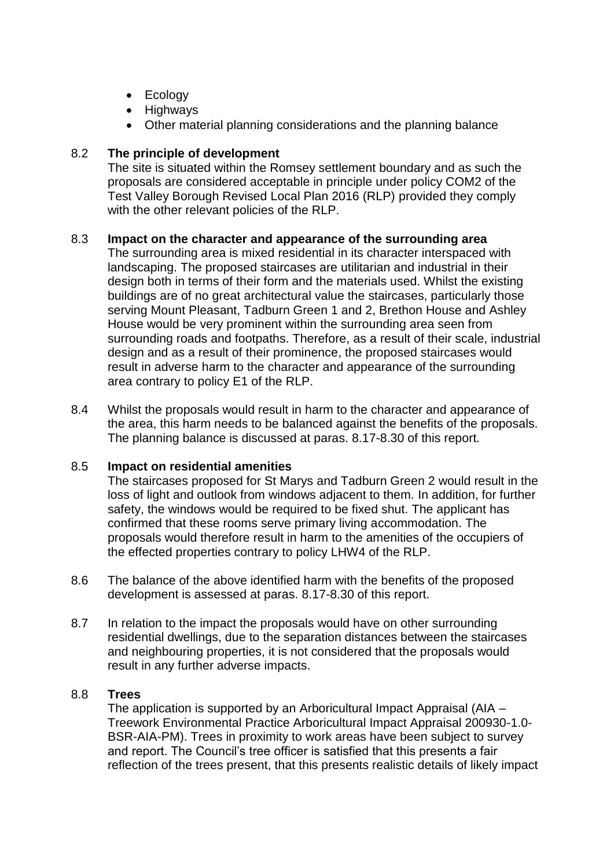- Ecology
- Highways
- Other material planning considerations and the planning balance

## 8.2 **The principle of development**

The site is situated within the Romsey settlement boundary and as such the proposals are considered acceptable in principle under policy COM2 of the Test Valley Borough Revised Local Plan 2016 (RLP) provided they comply with the other relevant policies of the RLP.

### 8.3 **Impact on the character and appearance of the surrounding area**

The surrounding area is mixed residential in its character interspaced with landscaping. The proposed staircases are utilitarian and industrial in their design both in terms of their form and the materials used. Whilst the existing buildings are of no great architectural value the staircases, particularly those serving Mount Pleasant, Tadburn Green 1 and 2, Brethon House and Ashley House would be very prominent within the surrounding area seen from surrounding roads and footpaths. Therefore, as a result of their scale, industrial design and as a result of their prominence, the proposed staircases would result in adverse harm to the character and appearance of the surrounding area contrary to policy E1 of the RLP.

8.4 Whilst the proposals would result in harm to the character and appearance of the area, this harm needs to be balanced against the benefits of the proposals. The planning balance is discussed at paras. 8.17-8.30 of this report.

### 8.5 **Impact on residential amenities**

The staircases proposed for St Marys and Tadburn Green 2 would result in the loss of light and outlook from windows adjacent to them. In addition, for further safety, the windows would be required to be fixed shut. The applicant has confirmed that these rooms serve primary living accommodation. The proposals would therefore result in harm to the amenities of the occupiers of the effected properties contrary to policy LHW4 of the RLP.

- 8.6 The balance of the above identified harm with the benefits of the proposed development is assessed at paras. 8.17-8.30 of this report.
- 8.7 In relation to the impact the proposals would have on other surrounding residential dwellings, due to the separation distances between the staircases and neighbouring properties, it is not considered that the proposals would result in any further adverse impacts.

### 8.8 **Trees**

The application is supported by an Arboricultural Impact Appraisal (AIA – Treework Environmental Practice Arboricultural Impact Appraisal 200930-1.0- BSR-AIA-PM). Trees in proximity to work areas have been subject to survey and report. The Council's tree officer is satisfied that this presents a fair reflection of the trees present, that this presents realistic details of likely impact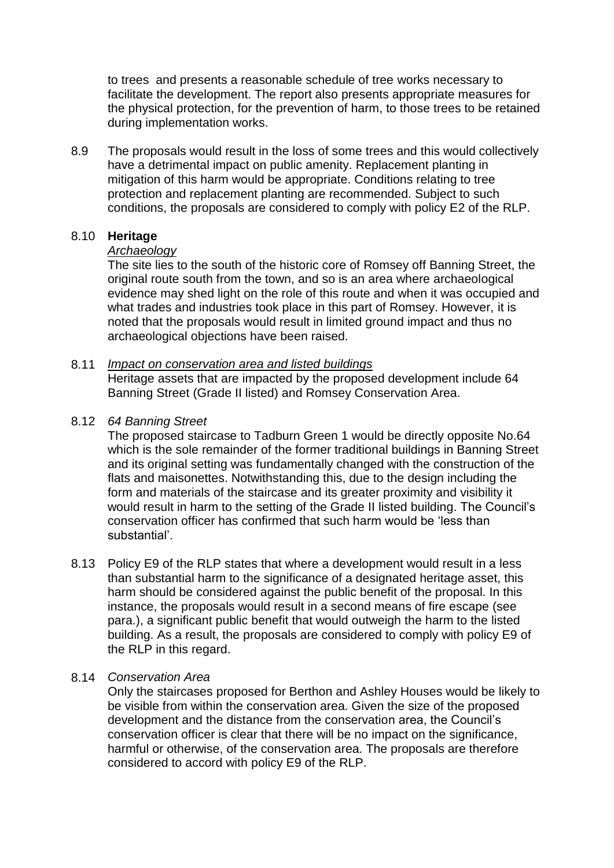to trees and presents a reasonable schedule of tree works necessary to facilitate the development. The report also presents appropriate measures for the physical protection, for the prevention of harm, to those trees to be retained during implementation works.

8.9 The proposals would result in the loss of some trees and this would collectively have a detrimental impact on public amenity. Replacement planting in mitigation of this harm would be appropriate. Conditions relating to tree protection and replacement planting are recommended. Subject to such conditions, the proposals are considered to comply with policy E2 of the RLP.

### 8.10 **Heritage**

### *Archaeology*

The site lies to the south of the historic core of Romsey off Banning Street, the original route south from the town, and so is an area where archaeological evidence may shed light on the role of this route and when it was occupied and what trades and industries took place in this part of Romsey. However, it is noted that the proposals would result in limited ground impact and thus no archaeological objections have been raised.

#### 8.11 *Impact on conservation area and listed buildings* Heritage assets that are impacted by the proposed development include 64 Banning Street (Grade II listed) and Romsey Conservation Area.

### 8.12 *64 Banning Street*

The proposed staircase to Tadburn Green 1 would be directly opposite No.64 which is the sole remainder of the former traditional buildings in Banning Street and its original setting was fundamentally changed with the construction of the flats and maisonettes. Notwithstanding this, due to the design including the form and materials of the staircase and its greater proximity and visibility it would result in harm to the setting of the Grade II listed building. The Council's conservation officer has confirmed that such harm would be 'less than substantial'.

8.13 Policy E9 of the RLP states that where a development would result in a less than substantial harm to the significance of a designated heritage asset, this harm should be considered against the public benefit of the proposal. In this instance, the proposals would result in a second means of fire escape (see para.), a significant public benefit that would outweigh the harm to the listed building. As a result, the proposals are considered to comply with policy E9 of the RLP in this regard.

#### 8.14 *Conservation Area*

Only the staircases proposed for Berthon and Ashley Houses would be likely to be visible from within the conservation area. Given the size of the proposed development and the distance from the conservation area, the Council's conservation officer is clear that there will be no impact on the significance, harmful or otherwise, of the conservation area. The proposals are therefore considered to accord with policy E9 of the RLP.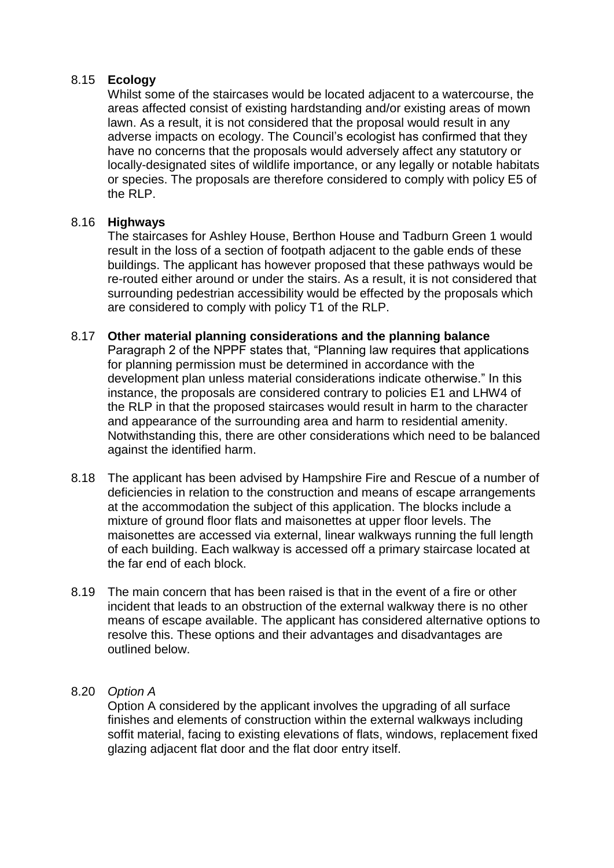## 8.15 **Ecology**

Whilst some of the staircases would be located adjacent to a watercourse, the areas affected consist of existing hardstanding and/or existing areas of mown lawn. As a result, it is not considered that the proposal would result in any adverse impacts on ecology. The Council's ecologist has confirmed that they have no concerns that the proposals would adversely affect any statutory or locally-designated sites of wildlife importance, or any legally or notable habitats or species. The proposals are therefore considered to comply with policy E5 of the RLP.

## 8.16 **Highways**

The staircases for Ashley House, Berthon House and Tadburn Green 1 would result in the loss of a section of footpath adjacent to the gable ends of these buildings. The applicant has however proposed that these pathways would be re-routed either around or under the stairs. As a result, it is not considered that surrounding pedestrian accessibility would be effected by the proposals which are considered to comply with policy T1 of the RLP.

### 8.17 **Other material planning considerations and the planning balance**

Paragraph 2 of the NPPF states that, "Planning law requires that applications for planning permission must be determined in accordance with the development plan unless material considerations indicate otherwise." In this instance, the proposals are considered contrary to policies E1 and LHW4 of the RLP in that the proposed staircases would result in harm to the character and appearance of the surrounding area and harm to residential amenity. Notwithstanding this, there are other considerations which need to be balanced against the identified harm.

- 8.18 The applicant has been advised by Hampshire Fire and Rescue of a number of deficiencies in relation to the construction and means of escape arrangements at the accommodation the subject of this application. The blocks include a mixture of ground floor flats and maisonettes at upper floor levels. The maisonettes are accessed via external, linear walkways running the full length of each building. Each walkway is accessed off a primary staircase located at the far end of each block.
- 8.19 The main concern that has been raised is that in the event of a fire or other incident that leads to an obstruction of the external walkway there is no other means of escape available. The applicant has considered alternative options to resolve this. These options and their advantages and disadvantages are outlined below.
- 8.20 *Option A*

Option A considered by the applicant involves the upgrading of all surface finishes and elements of construction within the external walkways including soffit material, facing to existing elevations of flats, windows, replacement fixed glazing adjacent flat door and the flat door entry itself.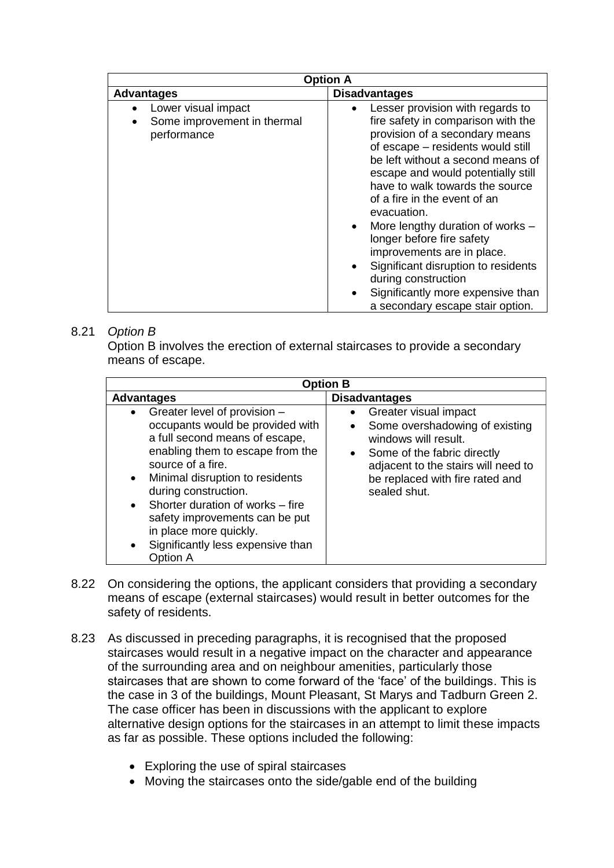| <b>Option A</b>                                                   |                                                                                                                                                                                                                                                                                                                                                                                                                                                                                                                                                                    |  |  |
|-------------------------------------------------------------------|--------------------------------------------------------------------------------------------------------------------------------------------------------------------------------------------------------------------------------------------------------------------------------------------------------------------------------------------------------------------------------------------------------------------------------------------------------------------------------------------------------------------------------------------------------------------|--|--|
| <b>Advantages</b>                                                 | <b>Disadvantages</b>                                                                                                                                                                                                                                                                                                                                                                                                                                                                                                                                               |  |  |
| Lower visual impact<br>Some improvement in thermal<br>performance | Lesser provision with regards to<br>fire safety in comparison with the<br>provision of a secondary means<br>of escape - residents would still<br>be left without a second means of<br>escape and would potentially still<br>have to walk towards the source<br>of a fire in the event of an<br>evacuation.<br>More lengthy duration of works -<br>$\bullet$<br>longer before fire safety<br>improvements are in place.<br>Significant disruption to residents<br>٠<br>during construction<br>Significantly more expensive than<br>a secondary escape stair option. |  |  |

# 8.21 *Option B*

Option B involves the erection of external staircases to provide a secondary means of escape.

| <b>Option B</b>                                                                                                                                                                                                                                                                                                                                                                                                                    |                                                                                                                                                                                                                       |  |  |
|------------------------------------------------------------------------------------------------------------------------------------------------------------------------------------------------------------------------------------------------------------------------------------------------------------------------------------------------------------------------------------------------------------------------------------|-----------------------------------------------------------------------------------------------------------------------------------------------------------------------------------------------------------------------|--|--|
| <b>Advantages</b>                                                                                                                                                                                                                                                                                                                                                                                                                  | <b>Disadvantages</b>                                                                                                                                                                                                  |  |  |
| Greater level of provision -<br>$\bullet$<br>occupants would be provided with<br>a full second means of escape,<br>enabling them to escape from the<br>source of a fire.<br>Minimal disruption to residents<br>$\bullet$<br>during construction.<br>Shorter duration of works – fire<br>$\bullet$<br>safety improvements can be put<br>in place more quickly.<br>Significantly less expensive than<br>$\bullet$<br><b>Option A</b> | Greater visual impact<br>Some overshadowing of existing<br>windows will result.<br>Some of the fabric directly<br>$\bullet$<br>adjacent to the stairs will need to<br>be replaced with fire rated and<br>sealed shut. |  |  |

- 8.22 On considering the options, the applicant considers that providing a secondary means of escape (external staircases) would result in better outcomes for the safety of residents.
- 8.23 As discussed in preceding paragraphs, it is recognised that the proposed staircases would result in a negative impact on the character and appearance of the surrounding area and on neighbour amenities, particularly those staircases that are shown to come forward of the 'face' of the buildings. This is the case in 3 of the buildings, Mount Pleasant, St Marys and Tadburn Green 2. The case officer has been in discussions with the applicant to explore alternative design options for the staircases in an attempt to limit these impacts as far as possible. These options included the following:
	- Exploring the use of spiral staircases
	- Moving the staircases onto the side/gable end of the building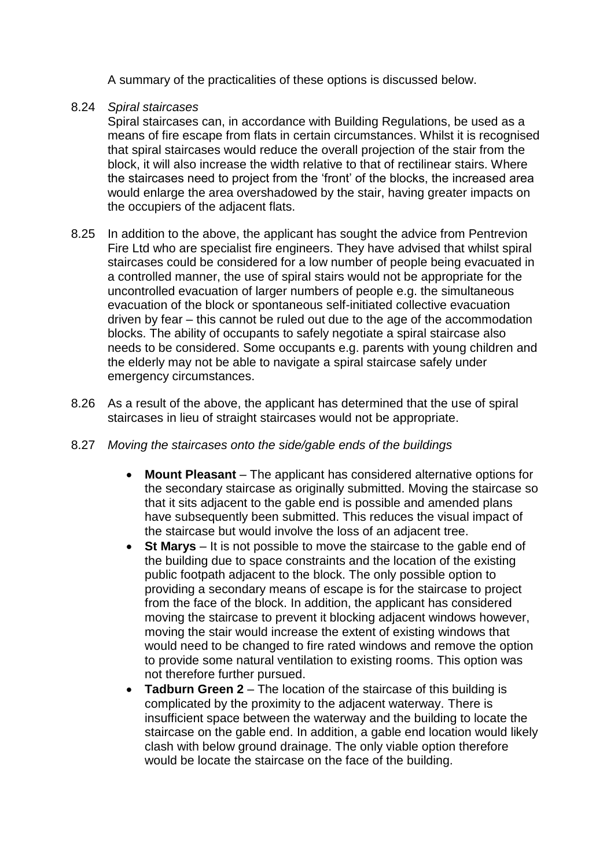A summary of the practicalities of these options is discussed below.

### 8.24 *Spiral staircases*

Spiral staircases can, in accordance with Building Regulations, be used as a means of fire escape from flats in certain circumstances. Whilst it is recognised that spiral staircases would reduce the overall projection of the stair from the block, it will also increase the width relative to that of rectilinear stairs. Where the staircases need to project from the 'front' of the blocks, the increased area would enlarge the area overshadowed by the stair, having greater impacts on the occupiers of the adjacent flats.

- 8.25 In addition to the above, the applicant has sought the advice from Pentrevion Fire Ltd who are specialist fire engineers. They have advised that whilst spiral staircases could be considered for a low number of people being evacuated in a controlled manner, the use of spiral stairs would not be appropriate for the uncontrolled evacuation of larger numbers of people e.g. the simultaneous evacuation of the block or spontaneous self-initiated collective evacuation driven by fear – this cannot be ruled out due to the age of the accommodation blocks. The ability of occupants to safely negotiate a spiral staircase also needs to be considered. Some occupants e.g. parents with young children and the elderly may not be able to navigate a spiral staircase safely under emergency circumstances.
- 8.26 As a result of the above, the applicant has determined that the use of spiral staircases in lieu of straight staircases would not be appropriate.
- 8.27 *Moving the staircases onto the side/gable ends of the buildings* 
	- **Mount Pleasant** The applicant has considered alternative options for the secondary staircase as originally submitted. Moving the staircase so that it sits adjacent to the gable end is possible and amended plans have subsequently been submitted. This reduces the visual impact of the staircase but would involve the loss of an adjacent tree.
	- St Marys It is not possible to move the staircase to the gable end of the building due to space constraints and the location of the existing public footpath adjacent to the block. The only possible option to providing a secondary means of escape is for the staircase to project from the face of the block. In addition, the applicant has considered moving the staircase to prevent it blocking adjacent windows however, moving the stair would increase the extent of existing windows that would need to be changed to fire rated windows and remove the option to provide some natural ventilation to existing rooms. This option was not therefore further pursued.
	- **Tadburn Green 2**  The location of the staircase of this building is complicated by the proximity to the adjacent waterway. There is insufficient space between the waterway and the building to locate the staircase on the gable end. In addition, a gable end location would likely clash with below ground drainage. The only viable option therefore would be locate the staircase on the face of the building.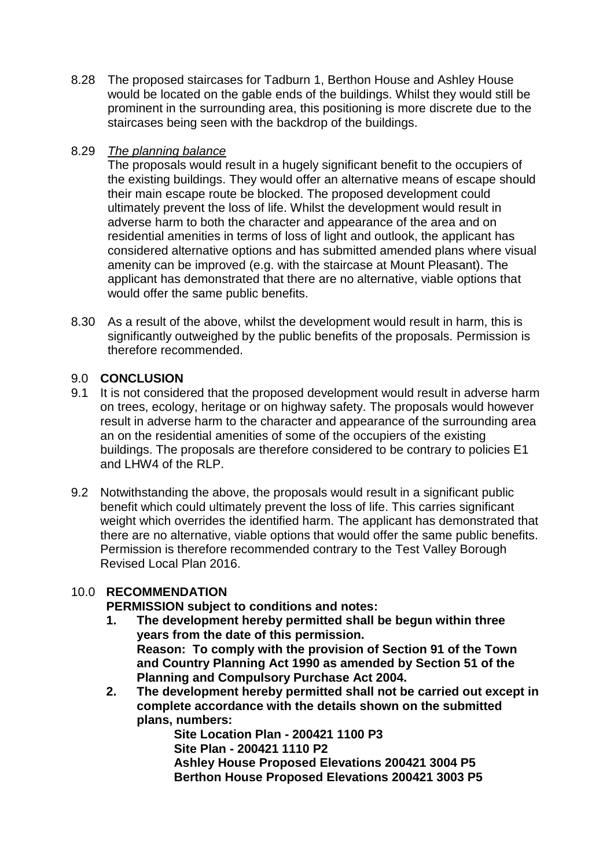8.28 The proposed staircases for Tadburn 1, Berthon House and Ashley House would be located on the gable ends of the buildings. Whilst they would still be prominent in the surrounding area, this positioning is more discrete due to the staircases being seen with the backdrop of the buildings.

## 8.29 *The planning balance*

The proposals would result in a hugely significant benefit to the occupiers of the existing buildings. They would offer an alternative means of escape should their main escape route be blocked. The proposed development could ultimately prevent the loss of life. Whilst the development would result in adverse harm to both the character and appearance of the area and on residential amenities in terms of loss of light and outlook, the applicant has considered alternative options and has submitted amended plans where visual amenity can be improved (e.g. with the staircase at Mount Pleasant). The applicant has demonstrated that there are no alternative, viable options that would offer the same public benefits.

8.30 As a result of the above, whilst the development would result in harm, this is significantly outweighed by the public benefits of the proposals. Permission is therefore recommended.

# 9.0 **CONCLUSION**

- 9.1 It is not considered that the proposed development would result in adverse harm on trees, ecology, heritage or on highway safety. The proposals would however result in adverse harm to the character and appearance of the surrounding area an on the residential amenities of some of the occupiers of the existing buildings. The proposals are therefore considered to be contrary to policies E1 and LHW4 of the RLP.
- 9.2 Notwithstanding the above, the proposals would result in a significant public benefit which could ultimately prevent the loss of life. This carries significant weight which overrides the identified harm. The applicant has demonstrated that there are no alternative, viable options that would offer the same public benefits. Permission is therefore recommended contrary to the Test Valley Borough Revised Local Plan 2016.

# 10.0 **RECOMMENDATION**

**PERMISSION subject to conditions and notes:**

- **1. The development hereby permitted shall be begun within three years from the date of this permission. Reason: To comply with the provision of Section 91 of the Town and Country Planning Act 1990 as amended by Section 51 of the Planning and Compulsory Purchase Act 2004.**
- **2. The development hereby permitted shall not be carried out except in complete accordance with the details shown on the submitted plans, numbers:**

**Site Location Plan - 200421 1100 P3 Site Plan - 200421 1110 P2 Ashley House Proposed Elevations 200421 3004 P5 Berthon House Proposed Elevations 200421 3003 P5**